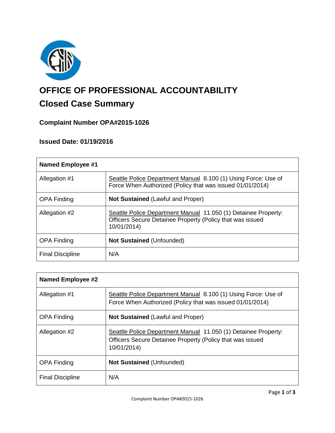

# **OFFICE OF PROFESSIONAL ACCOUNTABILITY**

# **Closed Case Summary**

## **Complaint Number OPA#2015-1026**

### **Issued Date: 01/19/2016**

| <b>Named Employee #1</b> |                                                                                                                                            |
|--------------------------|--------------------------------------------------------------------------------------------------------------------------------------------|
| Allegation #1            | Seattle Police Department Manual 8.100 (1) Using Force: Use of<br>Force When Authorized (Policy that was issued 01/01/2014)                |
| <b>OPA Finding</b>       | <b>Not Sustained (Lawful and Proper)</b>                                                                                                   |
| Allegation #2            | Seattle Police Department Manual 11.050 (1) Detainee Property:<br>Officers Secure Detainee Property (Policy that was issued<br>10/01/2014) |
| <b>OPA Finding</b>       | <b>Not Sustained (Unfounded)</b>                                                                                                           |
| <b>Final Discipline</b>  | N/A                                                                                                                                        |

| <b>Named Employee #2</b> |                                                                                                                                            |
|--------------------------|--------------------------------------------------------------------------------------------------------------------------------------------|
| Allegation #1            | Seattle Police Department Manual 8.100 (1) Using Force: Use of<br>Force When Authorized (Policy that was issued 01/01/2014)                |
| <b>OPA Finding</b>       | <b>Not Sustained (Lawful and Proper)</b>                                                                                                   |
| Allegation #2            | Seattle Police Department Manual 11.050 (1) Detainee Property:<br>Officers Secure Detainee Property (Policy that was issued<br>10/01/2014) |
| <b>OPA Finding</b>       | <b>Not Sustained (Unfounded)</b>                                                                                                           |
| <b>Final Discipline</b>  | N/A                                                                                                                                        |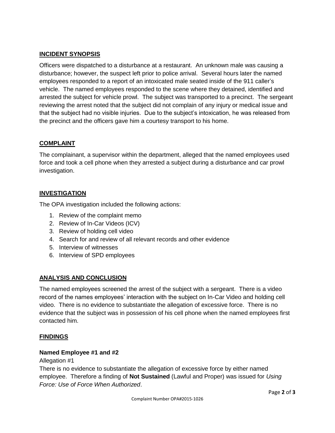#### **INCIDENT SYNOPSIS**

Officers were dispatched to a disturbance at a restaurant. An unknown male was causing a disturbance; however, the suspect left prior to police arrival. Several hours later the named employees responded to a report of an intoxicated male seated inside of the 911 caller's vehicle. The named employees responded to the scene where they detained, identified and arrested the subject for vehicle prowl. The subject was transported to a precinct. The sergeant reviewing the arrest noted that the subject did not complain of any injury or medical issue and that the subject had no visible injuries. Due to the subject's intoxication, he was released from the precinct and the officers gave him a courtesy transport to his home.

#### **COMPLAINT**

The complainant, a supervisor within the department, alleged that the named employees used force and took a cell phone when they arrested a subject during a disturbance and car prowl investigation.

#### **INVESTIGATION**

The OPA investigation included the following actions:

- 1. Review of the complaint memo
- 2. Review of In-Car Videos (ICV)
- 3. Review of holding cell video
- 4. Search for and review of all relevant records and other evidence
- 5. Interview of witnesses
- 6. Interview of SPD employees

#### **ANALYSIS AND CONCLUSION**

The named employees screened the arrest of the subject with a sergeant. There is a video record of the names employees' interaction with the subject on In-Car Video and holding cell video. There is no evidence to substantiate the allegation of excessive force. There is no evidence that the subject was in possession of his cell phone when the named employees first contacted him.

#### **FINDINGS**

#### **Named Employee #1 and #2**

Allegation #1

There is no evidence to substantiate the allegation of excessive force by either named employee. Therefore a finding of **Not Sustained** (Lawful and Proper) was issued for *Using Force: Use of Force When Authorized*.